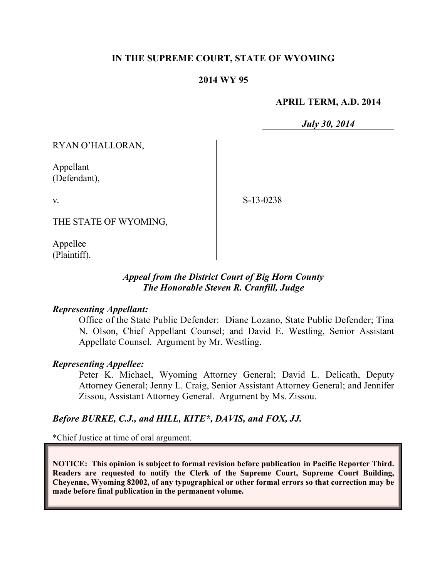## **IN THE SUPREME COURT, STATE OF WYOMING**

### **2014 WY 95**

#### **APRIL TERM, A.D. 2014**

*July 30, 2014*

RYAN O'HALLORAN,

Appellant (Defendant),

v.

S-13-0238

THE STATE OF WYOMING,

Appellee (Plaintiff).

## *Appeal from the District Court of Big Horn County The Honorable Steven R. Cranfill, Judge*

### *Representing Appellant:*

Office of the State Public Defender: Diane Lozano, State Public Defender; Tina N. Olson, Chief Appellant Counsel; and David E. Westling, Senior Assistant Appellate Counsel. Argument by Mr. Westling.

### *Representing Appellee:*

Peter K. Michael, Wyoming Attorney General; David L. Delicath, Deputy Attorney General; Jenny L. Craig, Senior Assistant Attorney General; and Jennifer Zissou, Assistant Attorney General. Argument by Ms. Zissou.

### *Before BURKE, C.J., and HILL, KITE\*, DAVIS, and FOX, JJ.*

\*Chief Justice at time of oral argument.

**NOTICE: This opinion is subject to formal revision before publication in Pacific Reporter Third. Readers are requested to notify the Clerk of the Supreme Court, Supreme Court Building, Cheyenne, Wyoming 82002, of any typographical or other formal errors so that correction may be made before final publication in the permanent volume.**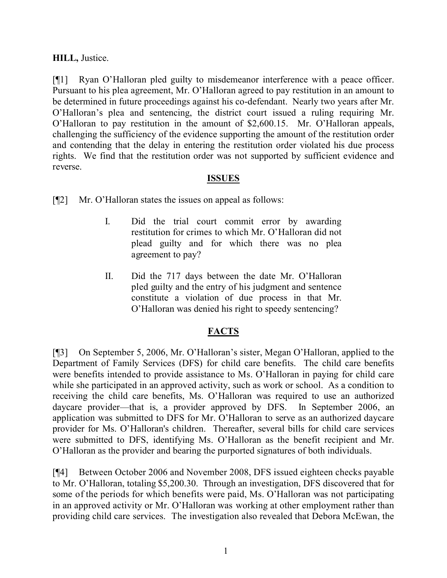# **HILL,** Justice.

[¶1] Ryan O'Halloran pled guilty to misdemeanor interference with a peace officer. Pursuant to his plea agreement, Mr. O'Halloran agreed to pay restitution in an amount to be determined in future proceedings against his co-defendant. Nearly two years after Mr. O'Halloran's plea and sentencing, the district court issued a ruling requiring Mr. O'Halloran to pay restitution in the amount of \$2,600.15. Mr. O'Halloran appeals, challenging the sufficiency of the evidence supporting the amount of the restitution order and contending that the delay in entering the restitution order violated his due process rights. We find that the restitution order was not supported by sufficient evidence and reverse.

### **ISSUES**

[¶2] Mr. O'Halloran states the issues on appeal as follows:

- I. Did the trial court commit error by awarding restitution for crimes to which Mr. O'Halloran did not plead guilty and for which there was no plea agreement to pay?
- II. Did the 717 days between the date Mr. O'Halloran pled guilty and the entry of his judgment and sentence constitute a violation of due process in that Mr. O'Halloran was denied his right to speedy sentencing?

## **FACTS**

[¶3] On September 5, 2006, Mr. O'Halloran's sister, Megan O'Halloran, applied to the Department of Family Services (DFS) for child care benefits. The child care benefits were benefits intended to provide assistance to Ms. O'Halloran in paying for child care while she participated in an approved activity, such as work or school. As a condition to receiving the child care benefits, Ms. O'Halloran was required to use an authorized daycare provider—that is, a provider approved by DFS. In September 2006, an application was submitted to DFS for Mr. O'Halloran to serve as an authorized daycare provider for Ms. O'Halloran's children. Thereafter, several bills for child care services were submitted to DFS, identifying Ms. O'Halloran as the benefit recipient and Mr. O'Halloran as the provider and bearing the purported signatures of both individuals.

[¶4] Between October 2006 and November 2008, DFS issued eighteen checks payable to Mr. O'Halloran, totaling \$5,200.30. Through an investigation, DFS discovered that for some of the periods for which benefits were paid, Ms. O'Halloran was not participating in an approved activity or Mr. O'Halloran was working at other employment rather than providing child care services. The investigation also revealed that Debora McEwan, the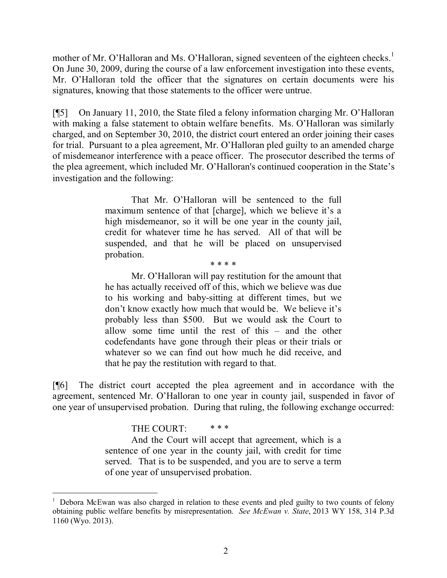mother of Mr. O'Halloran and Ms. O'Halloran, signed seventeen of the eighteen checks.<sup>1</sup> On June 30, 2009, during the course of a law enforcement investigation into these events, Mr. O'Halloran told the officer that the signatures on certain documents were his signatures, knowing that those statements to the officer were untrue.

[¶5] On January 11, 2010, the State filed a felony information charging Mr. O'Halloran with making a false statement to obtain welfare benefits. Ms. O'Halloran was similarly charged, and on September 30, 2010, the district court entered an order joining their cases for trial. Pursuant to a plea agreement, Mr. O'Halloran pled guilty to an amended charge of misdemeanor interference with a peace officer. The prosecutor described the terms of the plea agreement, which included Mr. O'Halloran's continued cooperation in the State's investigation and the following:

> That Mr. O'Halloran will be sentenced to the full maximum sentence of that [charge], which we believe it's a high misdemeanor, so it will be one year in the county jail, credit for whatever time he has served. All of that will be suspended, and that he will be placed on unsupervised probation. \* \* \* \*

Mr. O'Halloran will pay restitution for the amount that he has actually received off of this, which we believe was due to his working and baby-sitting at different times, but we don't know exactly how much that would be. We believe it's probably less than \$500. But we would ask the Court to allow some time until the rest of this – and the other codefendants have gone through their pleas or their trials or whatever so we can find out how much he did receive, and that he pay the restitution with regard to that.

[¶6] The district court accepted the plea agreement and in accordance with the agreement, sentenced Mr. O'Halloran to one year in county jail, suspended in favor of one year of unsupervised probation. During that ruling, the following exchange occurred:

THE COURT:  $***$ 

And the Court will accept that agreement, which is a sentence of one year in the county jail, with credit for time served. That is to be suspended, and you are to serve a term of one year of unsupervised probation.

<sup>&</sup>lt;sup>1</sup> Debora McEwan was also charged in relation to these events and pled guilty to two counts of felony obtaining public welfare benefits by misrepresentation. *See McEwan v. State*, 2013 WY 158, 314 P.3d 1160 (Wyo. 2013).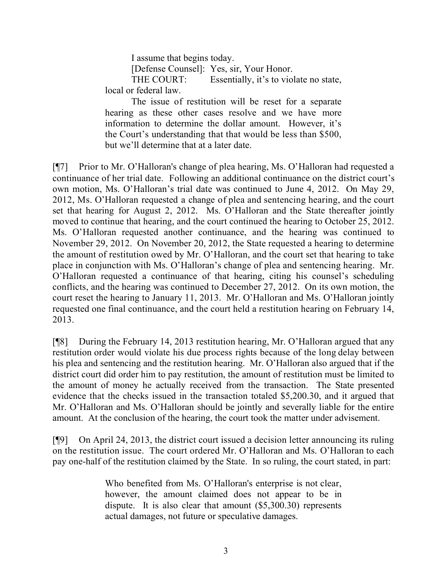I assume that begins today.

[Defense Counsel]: Yes, sir, Your Honor.

THE COURT: Essentially, it's to violate no state, local or federal law.

The issue of restitution will be reset for a separate hearing as these other cases resolve and we have more information to determine the dollar amount. However, it's the Court's understanding that that would be less than \$500, but we'll determine that at a later date.

[¶7] Prior to Mr. O'Halloran's change of plea hearing, Ms. O'Halloran had requested a continuance of her trial date. Following an additional continuance on the district court's own motion, Ms. O'Halloran's trial date was continued to June 4, 2012. On May 29, 2012, Ms. O'Halloran requested a change of plea and sentencing hearing, and the court set that hearing for August 2, 2012. Ms. O'Halloran and the State thereafter jointly moved to continue that hearing, and the court continued the hearing to October 25, 2012. Ms. O'Halloran requested another continuance, and the hearing was continued to November 29, 2012. On November 20, 2012, the State requested a hearing to determine the amount of restitution owed by Mr. O'Halloran, and the court set that hearing to take place in conjunction with Ms. O'Halloran's change of plea and sentencing hearing. Mr. O'Halloran requested a continuance of that hearing, citing his counsel's scheduling conflicts, and the hearing was continued to December 27, 2012. On its own motion, the court reset the hearing to January 11, 2013. Mr. O'Halloran and Ms. O'Halloran jointly requested one final continuance, and the court held a restitution hearing on February 14, 2013.

[¶8] During the February 14, 2013 restitution hearing, Mr. O'Halloran argued that any restitution order would violate his due process rights because of the long delay between his plea and sentencing and the restitution hearing. Mr. O'Halloran also argued that if the district court did order him to pay restitution, the amount of restitution must be limited to the amount of money he actually received from the transaction. The State presented evidence that the checks issued in the transaction totaled \$5,200.30, and it argued that Mr. O'Halloran and Ms. O'Halloran should be jointly and severally liable for the entire amount. At the conclusion of the hearing, the court took the matter under advisement.

[¶9] On April 24, 2013, the district court issued a decision letter announcing its ruling on the restitution issue. The court ordered Mr. O'Halloran and Ms. O'Halloran to each pay one-half of the restitution claimed by the State. In so ruling, the court stated, in part:

> Who benefited from Ms. O'Halloran's enterprise is not clear, however, the amount claimed does not appear to be in dispute. It is also clear that amount (\$5,300.30) represents actual damages, not future or speculative damages.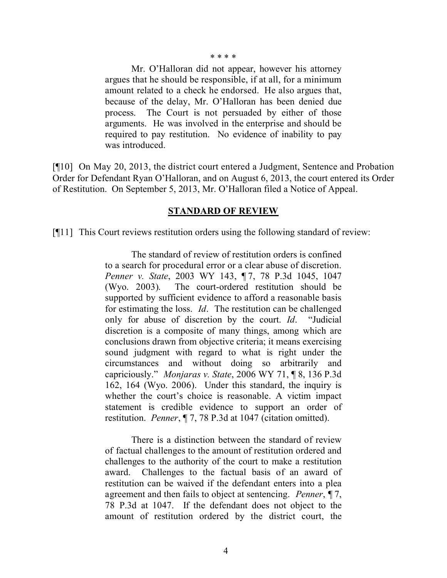\* \* \* \*

Mr. O'Halloran did not appear, however his attorney argues that he should be responsible, if at all, for a minimum amount related to a check he endorsed. He also argues that, because of the delay, Mr. O'Halloran has been denied due process. The Court is not persuaded by either of those arguments. He was involved in the enterprise and should be required to pay restitution. No evidence of inability to pay was introduced.

[¶10] On May 20, 2013, the district court entered a Judgment, Sentence and Probation Order for Defendant Ryan O'Halloran, and on August 6, 2013, the court entered its Order of Restitution. On September 5, 2013, Mr. O'Halloran filed a Notice of Appeal.

#### **STANDARD OF REVIEW**

[¶11] This Court reviews restitution orders using the following standard of review:

The standard of review of restitution orders is confined to a search for procedural error or a clear abuse of discretion. *Penner v. State*, 2003 WY 143, ¶ 7, 78 P.3d 1045, 1047 (Wyo. 2003). The court-ordered restitution should be supported by sufficient evidence to afford a reasonable basis for estimating the loss. *Id*. The restitution can be challenged only for abuse of discretion by the court. *Id*. "Judicial discretion is a composite of many things, among which are conclusions drawn from objective criteria; it means exercising sound judgment with regard to what is right under the circumstances and without doing so arbitrarily and capriciously." *Monjaras v. State*, 2006 WY 71, ¶ 8, 136 P.3d 162, 164 (Wyo. 2006). Under this standard, the inquiry is whether the court's choice is reasonable. A victim impact statement is credible evidence to support an order of restitution. *Penner*, ¶ 7, 78 P.3d at 1047 (citation omitted).

There is a distinction between the standard of review of factual challenges to the amount of restitution ordered and challenges to the authority of the court to make a restitution award. Challenges to the factual basis of an award of restitution can be waived if the defendant enters into a plea agreement and then fails to object at sentencing. *Penner*, ¶ 7, 78 P.3d at 1047. If the defendant does not object to the amount of restitution ordered by the district court, the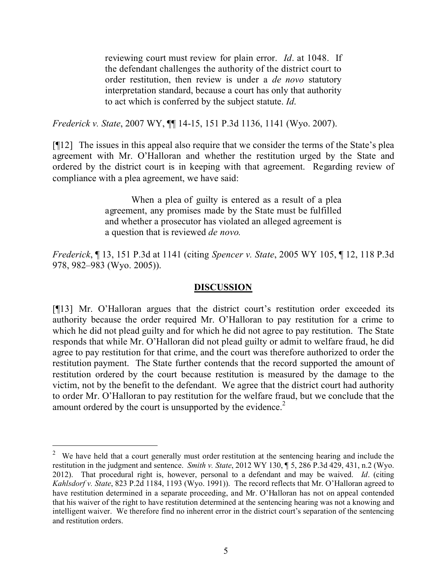reviewing court must review for plain error. *Id*. at 1048. If the defendant challenges the authority of the district court to order restitution, then review is under a *de novo* statutory interpretation standard, because a court has only that authority to act which is conferred by the subject statute. *Id*.

*Frederick v. State*, 2007 WY, ¶¶ 14-15, 151 P.3d 1136, 1141 (Wyo. 2007).

[¶12] The issues in this appeal also require that we consider the terms of the State's plea agreement with Mr. O'Halloran and whether the restitution urged by the State and ordered by the district court is in keeping with that agreement. Regarding review of compliance with a plea agreement, we have said:

> When a plea of guilty is entered as a result of a plea agreement, any promises made by the State must be fulfilled and whether a prosecutor has violated an alleged agreement is a question that is reviewed *de novo.*

*Frederick*, ¶ 13, 151 P.3d at 1141 (citing *Spencer v. State*, 2005 WY 105, ¶ 12, 118 P.3d 978, 982–983 (Wyo. 2005)).

### **DISCUSSION**

[¶13] Mr. O'Halloran argues that the district court's restitution order exceeded its authority because the order required Mr. O'Halloran to pay restitution for a crime to which he did not plead guilty and for which he did not agree to pay restitution. The State responds that while Mr. O'Halloran did not plead guilty or admit to welfare fraud, he did agree to pay restitution for that crime, and the court was therefore authorized to order the restitution payment. The State further contends that the record supported the amount of restitution ordered by the court because restitution is measured by the damage to the victim, not by the benefit to the defendant. We agree that the district court had authority to order Mr. O'Halloran to pay restitution for the welfare fraud, but we conclude that the amount ordered by the court is unsupported by the evidence.<sup>2</sup>

 $2$  We have held that a court generally must order restitution at the sentencing hearing and include the restitution in the judgment and sentence. *Smith v. State*, 2012 WY 130, ¶ 5, 286 P.3d 429, 431, n.2 (Wyo. 2012). That procedural right is, however, personal to a defendant and may be waived. *Id*. (citing *Kahlsdorf v. State*, 823 P.2d 1184, 1193 (Wyo. 1991)). The record reflects that Mr. O'Halloran agreed to have restitution determined in a separate proceeding, and Mr. O'Halloran has not on appeal contended that his waiver of the right to have restitution determined at the sentencing hearing was not a knowing and intelligent waiver. We therefore find no inherent error in the district court's separation of the sentencing and restitution orders.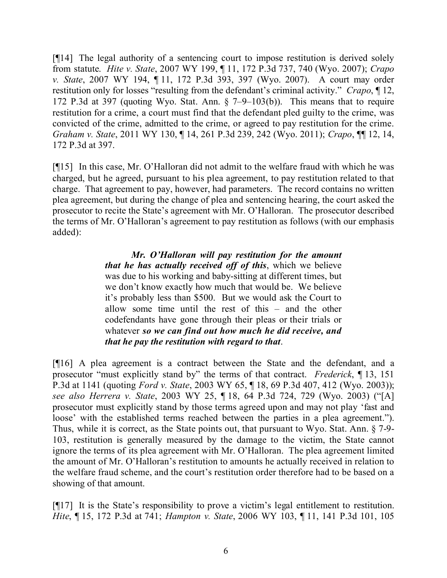[¶14] The legal authority of a sentencing court to impose restitution is derived solely from statute. *Hite v. State*, 2007 WY 199, ¶ 11, 172 P.3d 737, 740 (Wyo. 2007); *Crapo v. State*, 2007 WY 194, ¶ 11, 172 P.3d 393, 397 (Wyo. 2007). A court may order restitution only for losses "resulting from the defendant's criminal activity." *Crapo*, ¶ 12, 172 P.3d at 397 (quoting Wyo. Stat. Ann. § 7–9–103(b)). This means that to require restitution for a crime, a court must find that the defendant pled guilty to the crime, was convicted of the crime, admitted to the crime, or agreed to pay restitution for the crime. *Graham v. State*, 2011 WY 130, ¶ 14, 261 P.3d 239, 242 (Wyo. 2011); *Crapo*, ¶¶ 12, 14, 172 P.3d at 397.

[¶15] In this case, Mr. O'Halloran did not admit to the welfare fraud with which he was charged, but he agreed, pursuant to his plea agreement, to pay restitution related to that charge. That agreement to pay, however, had parameters. The record contains no written plea agreement, but during the change of plea and sentencing hearing, the court asked the prosecutor to recite the State's agreement with Mr. O'Halloran. The prosecutor described the terms of Mr. O'Halloran's agreement to pay restitution as follows (with our emphasis added):

> *Mr. O'Halloran will pay restitution for the amount that he has actually received off of this*, which we believe was due to his working and baby-sitting at different times, but we don't know exactly how much that would be. We believe it's probably less than \$500. But we would ask the Court to allow some time until the rest of this – and the other codefendants have gone through their pleas or their trials or whatever *so we can find out how much he did receive, and that he pay the restitution with regard to that*.

[¶16] A plea agreement is a contract between the State and the defendant, and a prosecutor "must explicitly stand by" the terms of that contract. *Frederick*, ¶ 13, 151 P.3d at 1141 (quoting *Ford v. State*, 2003 WY 65, ¶ 18, 69 P.3d 407, 412 (Wyo. 2003)); *see also Herrera v. State*, 2003 WY 25, ¶ 18, 64 P.3d 724, 729 (Wyo. 2003) ("[A] prosecutor must explicitly stand by those terms agreed upon and may not play 'fast and loose' with the established terms reached between the parties in a plea agreement."). Thus, while it is correct, as the State points out, that pursuant to Wyo. Stat. Ann. § 7-9- 103, restitution is generally measured by the damage to the victim, the State cannot ignore the terms of its plea agreement with Mr. O'Halloran. The plea agreement limited the amount of Mr. O'Halloran's restitution to amounts he actually received in relation to the welfare fraud scheme, and the court's restitution order therefore had to be based on a showing of that amount.

[¶17] It is the State's responsibility to prove a victim's legal entitlement to restitution. *Hite*, ¶ 15, 172 P.3d at 741; *Hampton v. State*, 2006 WY 103, ¶ 11, 141 P.3d 101, 105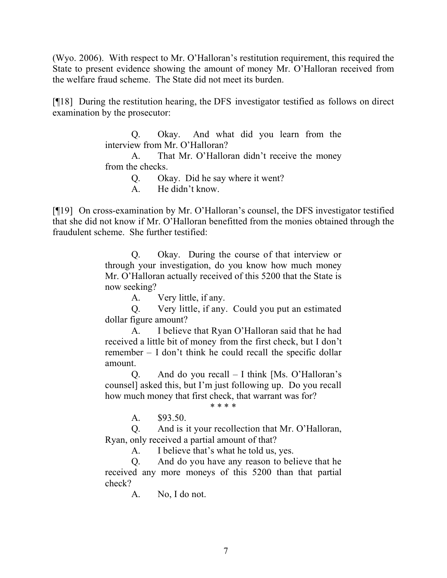(Wyo. 2006). With respect to Mr. O'Halloran's restitution requirement, this required the State to present evidence showing the amount of money Mr. O'Halloran received from the welfare fraud scheme. The State did not meet its burden.

[¶18] During the restitution hearing, the DFS investigator testified as follows on direct examination by the prosecutor:

> Q. Okay. And what did you learn from the interview from Mr. O'Halloran?

> A. That Mr. O'Halloran didn't receive the money from the checks.

Q. Okay. Did he say where it went?

A. He didn't know.

[¶19] On cross-examination by Mr. O'Halloran's counsel, the DFS investigator testified that she did not know if Mr. O'Halloran benefitted from the monies obtained through the fraudulent scheme. She further testified:

> Q. Okay. During the course of that interview or through your investigation, do you know how much money Mr. O'Halloran actually received of this 5200 that the State is now seeking?

A. Very little, if any.

Q. Very little, if any. Could you put an estimated dollar figure amount?

A. I believe that Ryan O'Halloran said that he had received a little bit of money from the first check, but I don't remember – I don't think he could recall the specific dollar amount.

Q. And do you recall – I think [Ms. O'Halloran's counsel] asked this, but I'm just following up. Do you recall how much money that first check, that warrant was for?

\* \* \* \*

A. \$93.50.

Q. And is it your recollection that Mr. O'Halloran, Ryan, only received a partial amount of that?

A. I believe that's what he told us, yes.

Q. And do you have any reason to believe that he received any more moneys of this 5200 than that partial check?

A. No, I do not.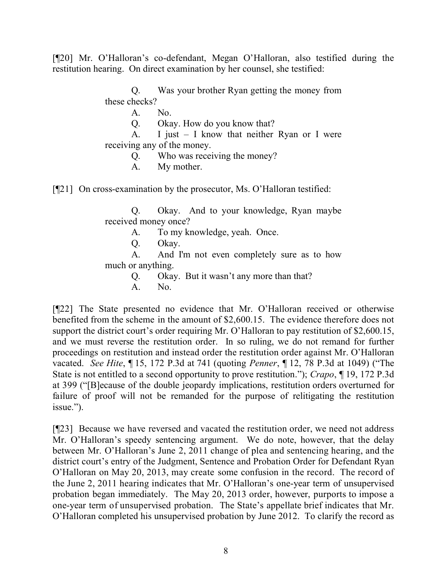[¶20] Mr. O'Halloran's co-defendant, Megan O'Halloran, also testified during the restitution hearing. On direct examination by her counsel, she testified:

> Q. Was your brother Ryan getting the money from these checks?

> > A. No.

Q. Okay. How do you know that?

A. I just – I know that neither Ryan or I were receiving any of the money.

Q. Who was receiving the money?

A. My mother.

[¶21] On cross-examination by the prosecutor, Ms. O'Halloran testified:

Q. Okay. And to your knowledge, Ryan maybe received money once?

A. To my knowledge, yeah. Once.

Q. Okay.

A. And I'm not even completely sure as to how much or anything.

Q. Okay. But it wasn't any more than that?

A. No.

[¶22] The State presented no evidence that Mr. O'Halloran received or otherwise benefited from the scheme in the amount of \$2,600.15. The evidence therefore does not support the district court's order requiring Mr. O'Halloran to pay restitution of \$2,600.15, and we must reverse the restitution order. In so ruling, we do not remand for further proceedings on restitution and instead order the restitution order against Mr. O'Halloran vacated. *See Hite*, ¶ 15, 172 P.3d at 741 (quoting *Penner*, ¶ 12, 78 P.3d at 1049) ("The State is not entitled to a second opportunity to prove restitution."); *Crapo*, ¶ 19, 172 P.3d at 399 ("[B]ecause of the double jeopardy implications, restitution orders overturned for failure of proof will not be remanded for the purpose of relitigating the restitution issue.").

[¶23] Because we have reversed and vacated the restitution order, we need not address Mr. O'Halloran's speedy sentencing argument. We do note, however, that the delay between Mr. O'Halloran's June 2, 2011 change of plea and sentencing hearing, and the district court's entry of the Judgment, Sentence and Probation Order for Defendant Ryan O'Halloran on May 20, 2013, may create some confusion in the record. The record of the June 2, 2011 hearing indicates that Mr. O'Halloran's one-year term of unsupervised probation began immediately. The May 20, 2013 order, however, purports to impose a one-year term of unsupervised probation. The State's appellate brief indicates that Mr. O'Halloran completed his unsupervised probation by June 2012. To clarify the record as